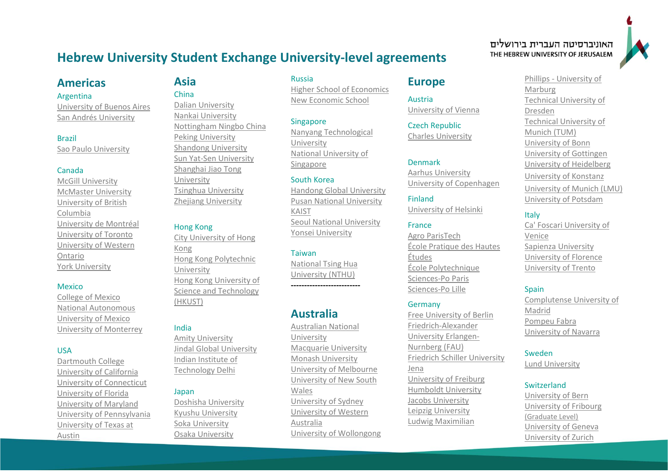# **Hebrew University Student Exchange University-level agreements**

## **Americas**

### Argentina

[University of Buenos Aires](http://www.uba.ar/) [San Andrés University](https://www.udesa.edu.ar/)

#### Brazil

[Sao Paulo University](https://www5.usp.br/)

### Canada

[McGill University](http://www.mcgill.ca/) [McMaster University](http://www.mcmaster.ca/) [University of British](http://www.ubc.ca/)  [Columbia](http://www.ubc.ca/) [University de Montréal](https://admission.umontreal.ca/en/foreign-students/) [University of Toronto](http://www.utoronto.ca/) University of [Western](http://www.uwo.ca/)  [Ontario](http://www.uwo.ca/)  [York University](http://www.yorku.ca/web/index.htm) 

### **Mexico**

[College of Mexico](http://www.colmex.mx/) [National Autonomous](https://www.unam.mx/)  [University of Mexico](https://www.unam.mx/) [University of Monterrey](http://www.udem.edu.mx/Eng/Estudiantes-Internacionales/Pages/default.aspx)

### USA

[Dartmouth College](http://dartmouth.edu/) [University of California](https://www.universityofcalifornia.edu/) [University of Connecticut](https://uconn.edu/) [University of Florida](https://www.ufl.edu/) [University](http://www.umd.edu/) of Maryland University of [Pennsylvania](https://www.upenn.edu/) [University of Texas at](https://www.utexas.edu/)  [Austin](https://www.utexas.edu/)

# **Asia** China

[Dalian University](http://www.dlu.edu.cn/) [Nankai University](https://en.nankai.edu.cn/) [Nottingham Ningbo China](https://www.nottingham.edu.cn/en/index.aspx) [Peking University](http://english.pku.edu.cn/) [Shandong University](http://en.sdu.edu.cn/) [Sun Yat-Sen University](http://www.sysu.edu.cn/2012/en/index.htm) [Shanghai Jiao Tong](http://en.sjtu.edu.cn/)  [University](http://en.sjtu.edu.cn/) [Tsinghua University](http://www.tsinghua.edu.cn/publish/newthuen/index.html)

[Zhejiang University](http://www.zju.edu.cn/english/)

### Hong Kong

[City University of Hong](http://www.cityu.edu.hk/)  [Kong](http://www.cityu.edu.hk/) Hong Kong [Polytechnic](http://www.polyu.edu.hk/web/en/home/index.html)  [University](http://www.polyu.edu.hk/web/en/home/index.html) [Hong Kong University of](http://www.ust.hk/)  [Science and Technology](http://www.ust.hk/)  [\(HKUST\)](http://www.ust.hk/)

### India

[Amity University](http://www.amity.edu/) [Jindal Global University](https://jgu.edu.in/) [Indian Institute of](https://home.iitd.ac.in/)  [Technology Delhi](https://home.iitd.ac.in/)

### Japan

[Doshisha University](https://www.doshisha.ac.jp/en/) [Kyushu University](https://www.kyushu-u.ac.jp/en/) [Soka University](https://www.soka.ac.jp/en/) [Osaka University](https://www.osaka-u.ac.jp/ja)

### Russia

[Higher School of Economics](http://www.hse.ru/en/org/hse/info/) [New Economic School](http://www.nes.ru/en/home/)

### **Singapore**

[Nanyang Technological](http://www.ntu.edu.sg/Pages/home.aspx)  [University](http://www.ntu.edu.sg/Pages/home.aspx) [National University of](http://www.nus.edu.sg/)  [Singapore](http://www.nus.edu.sg/)

### South Korea

[Handong Global University](https://www.handong.edu/eng/) [Pusan National University](http://english.pusan.ac.kr/uPNU_homepage/en/default.asp) [KAIST](http://io.kaist.ac.kr/menu/io.do?mguid=80CD2D0A-21E5-E511-940C-2C44FD7DF8B9) [Seoul National University](file://///MS-DATA1/ADMIN1/MINHAL/MAZKIRUT/MAZKIRUT/Leaore/חילופי%20סטודנטים/תשעד/לפוסטרים/Seoul%20National%20University) [Yonsei University](http://oldwww.yonsei.ac.kr/eng/)

### Taiwan

[National Tsing Hua](https://nthu-en.web.nthu.edu.tw/bin/home.php)  [University \(NTHU\)](https://nthu-en.web.nthu.edu.tw/bin/home.php)

**--------------------------**

# **Australia**

[Australian National](https://www.anu.edu.au/)  [University](https://www.anu.edu.au/) [Macquarie University](https://www.mq.edu.au/) [Monash University](http://www.monash.edu/) [University of Melbourne](http://www.unimelb.edu.au/) University of New South Wales [University of Sydney](http://sydney.edu.au/) [University of Western](http://www.uwa.edu.au/)  [Australia](http://www.uwa.edu.au/) [University of Wollongong](https://www.uow.edu.au/index.html)

# **Europe**

Austria [University of Vienna](https://www.univie.ac.at/en/)

Czech Republic [Charles University](http://www.cuni.cz/UKENG-1.html)

### Denmark

[Aarhus University](http://www.au.dk/en/) [University of Copenhagen](http://www.ku.dk/english/)

### Finland

[University of Helsinki](http://www.helsinki.fi/exchange/) 

### France

[Agro ParisTech](http://www2.agroparistech.fr/) [École Pratique des Hautes](https://www.ephe.fr/)  [Études](https://www.ephe.fr/) [École Polytechnique](http://www.polytechnique.edu/en) [Sciences-Po Paris](http://www.sciencespo.fr/en/content/9/international-university)  [Sciences-Po Lille](http://www.sciencespo.fr/en/content/9/international-university)

#### Germany

[Free University of Berlin](http://www.fu-berlin.de/en/index.html) [Friedrich-Alexander](https://www.fau.de/)  [University Erlangen-](https://www.fau.de/)[Nurnberg \(FAU\)](https://www.fau.de/) [Friedrich Schiller University](http://www.uni-jena.de/en/start.html)  [Jena](http://www.uni-jena.de/en/start.html) [University of Freiburg](http://www.uni-freiburg.de/)  [Humboldt University](https://www.hu-berlin.de/?set_language=en&cl=en) [Jacobs University](http://www.jacobs-university.de/) [Leipzig University](https://www.uni-leipzig.de/) [Ludwig Maximilian](http://www.en.uni-muenchen.de/index.html) 

### האוניברסיטה העברית בירושלים THE HEBREW UNIVERSITY OF JERUSALEM

Phillips - [University of](http://www.uni-marburg.de/index_html-en?language_sync=1)  [Marburg](http://www.uni-marburg.de/index_html-en?language_sync=1) Technical [University of](https://tu-dresden.de/en)  [Dresden](https://tu-dresden.de/en) [Technical University of](http://www.tum.de/en/homepage/) [Munich](http://www.tum.de/en/homepage/) (TUM) [University of Bonn](https://www.uni-bonn.de/startpage?set_language=en) [University of Gottingen](http://www.uni-goettingen.de/en/1.html) [University of Heidelberg](http://www.uni-heidelberg.de/) [University of Konstanz](https://www.uni-konstanz.de/en/) University of Munich (LMU) [University of Potsdam](http://www.uni-potsdam.de/en/index.html)

### **Italy**

[Ca' Foscari University of](http://www.unive.it/nqcontent.cfm?a_id=10497)  [Venice](http://www.unive.it/nqcontent.cfm?a_id=10497)  [Sapienza University](http://en.uniroma1.it/study-us/exchange-visiting-students) [University of Florence](https://www.unifi.it/) [University of Trento](https://www.unitn.it/en)

### **Spain**

[Complutense University of](https://www.ucm.es/english)  [Madrid](https://www.ucm.es/english)  [Pompeu Fabra](https://www.upf.edu/) [University of Navarra](https://www.unav.edu/en/home)

### Sweden

[Lund University](https://www.lu.se/)

### Switzerland

[University of Bern](http://www.unibe.ch/index_eng.html) [University of Fribourg](http://www3.unifr.ch/home/en/) (Graduate Level) [University of Geneva](http://www.unige.ch/) [University of Zurich](http://www.int.uzh.ch/)